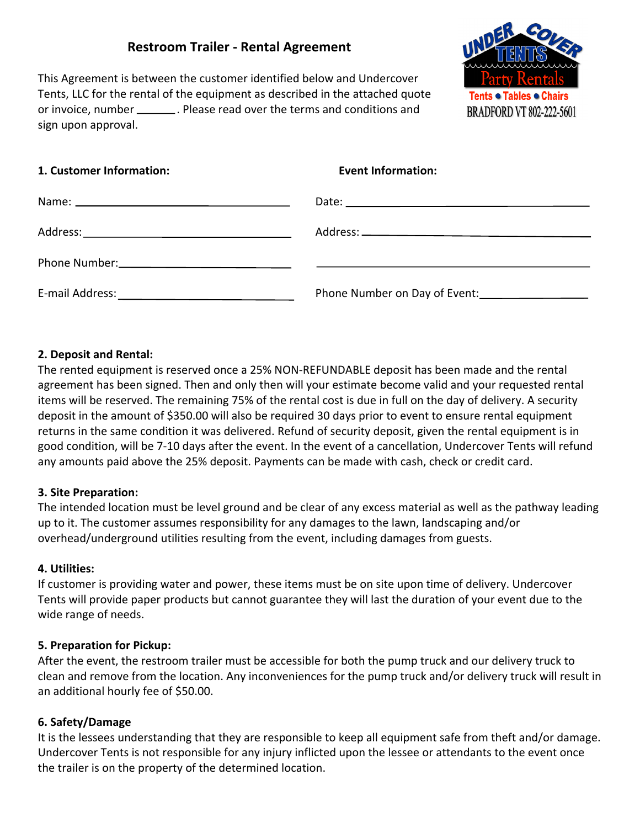# **Restroom Trailer - Rental Agreement**

This Agreement is between the customer identified below and Undercover Tents, LLC for the rental of the equipment as described in the attached quote or invoice, number \_\_\_\_\_\_\_\_. Please read over the terms and conditions and sign upon approval.



| 1. Customer Information: | <b>Event Information:</b>     |
|--------------------------|-------------------------------|
|                          |                               |
|                          |                               |
|                          |                               |
|                          | Phone Number on Day of Event: |

## **2. Deposit and Rental:**

The rented equipment is reserved once a 25% NON-REFUNDABLE deposit has been made and the rental agreement has been signed. Then and only then will your estimate become valid and your requested rental items will be reserved. The remaining 75% of the rental cost is due in full on the day of delivery. A security deposit in the amount of \$350.00 will also be required 30 days prior to event to ensure rental equipment returns in the same condition it was delivered. Refund of security deposit, given the rental equipment is in good condition, will be 7-10 days after the event. In the event of a cancellation, Undercover Tents will refund any amounts paid above the 25% deposit. Payments can be made with cash, check or credit card.

#### **3. Site Preparation:**

The intended location must be level ground and be clear of any excess material as well as the pathway leading up to it. The customer assumes responsibility for any damages to the lawn, landscaping and/or overhead/underground utilities resulting from the event, including damages from guests.

#### **4. Utilities:**

If customer is providing water and power, these items must be on site upon time of delivery. Undercover Tents will provide paper products but cannot guarantee they will last the duration of your event due to the wide range of needs.

#### **5. Preparation for Pickup:**

After the event, the restroom trailer must be accessible for both the pump truck and our delivery truck to clean and remove from the location. Any inconveniences for the pump truck and/or delivery truck will result in an additional hourly fee of \$50.00.

## **6. Safety/Damage**

It is the lessees understanding that they are responsible to keep all equipment safe from theft and/or damage. Undercover Tents is not responsible for any injury inflicted upon the lessee or attendants to the event once the trailer is on the property of the determined location.